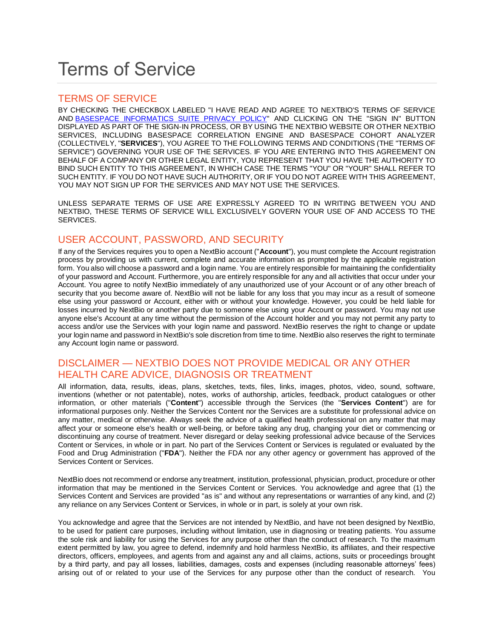# Terms of Service

# TERMS OF SERVICE

BY CHECKING THE CHECKBOX LABELED "I HAVE READ AND AGREE TO NEXTBIO'S TERMS OF SERVICE AND [BASESPACE INFORMATICS SUITE PRIVACY POLICY"](http://eibu.informatics.illumina.com/BaseSpace_Suite_Privacy_Policy.htm) AND CLICKING ON THE "SIGN IN" BUTTON DISPLAYED AS PART OF THE SIGN-IN PROCESS, OR BY USING THE NEXTBIO WEBSITE OR OTHER NEXTBIO SERVICES, INCLUDING BASESPACE CORRELATION ENGINE AND BASESPACE COHORT ANALYZER (COLLECTIVELY, "**SERVICES**"), YOU AGREE TO THE FOLLOWING TERMS AND CONDITIONS (THE "TERMS OF SERVICE") GOVERNING YOUR USE OF THE SERVICES. IF YOU ARE ENTERING INTO THIS AGREEMENT ON BEHALF OF A COMPANY OR OTHER LEGAL ENTITY, YOU REPRESENT THAT YOU HAVE THE AUTHORITY TO BIND SUCH ENTITY TO THIS AGREEMENT, IN WHICH CASE THE TERMS "YOU" OR "YOUR" SHALL REFER TO SUCH ENTITY. IF YOU DO NOT HAVE SUCH AUTHORITY, OR IF YOU DO NOT AGREE WITH THIS AGREEMENT, YOU MAY NOT SIGN UP FOR THE SERVICES AND MAY NOT USE THE SERVICES.

UNLESS SEPARATE TERMS OF USE ARE EXPRESSLY AGREED TO IN WRITING BETWEEN YOU AND NEXTBIO, THESE TERMS OF SERVICE WILL EXCLUSIVELY GOVERN YOUR USE OF AND ACCESS TO THE SERVICES.

# USER ACCOUNT, PASSWORD, AND SECURITY

If any of the Services requires you to open a NextBio account ("**Account**"), you must complete the Account registration process by providing us with current, complete and accurate information as prompted by the applicable registration form. You also will choose a password and a login name. You are entirely responsible for maintaining the confidentiality of your password and Account. Furthermore, you are entirely responsible for any and all activities that occur under your Account. You agree to notify NextBio immediately of any unauthorized use of your Account or of any other breach of security that you become aware of. NextBio will not be liable for any loss that you may incur as a result of someone else using your password or Account, either with or without your knowledge. However, you could be held liable for losses incurred by NextBio or another party due to someone else using your Account or password. You may not use anyone else's Account at any time without the permission of the Account holder and you may not permit any party to access and/or use the Services with your login name and password. NextBio reserves the right to change or update your login name and password in NextBio's sole discretion from time to time. NextBio also reserves the right to terminate any Account login name or password.

# DISCLAIMER — NEXTBIO DOES NOT PROVIDE MEDICAL OR ANY OTHER HEALTH CARE ADVICE, DIAGNOSIS OR TREATMENT

All information, data, results, ideas, plans, sketches, texts, files, links, images, photos, video, sound, software, inventions (whether or not patentable), notes, works of authorship, articles, feedback, product catalogues or other information, or other materials ("**Content**") accessible through the Services (the "**Services Content**") are for informational purposes only. Neither the Services Content nor the Services are a substitute for professional advice on any matter, medical or otherwise. Always seek the advice of a qualified health professional on any matter that may affect your or someone else's health or well-being, or before taking any drug, changing your diet or commencing or discontinuing any course of treatment. Never disregard or delay seeking professional advice because of the Services Content or Services, in whole or in part. No part of the Services Content or Services is regulated or evaluated by the Food and Drug Administration ("**FDA**"). Neither the FDA nor any other agency or government has approved of the Services Content or Services.

NextBio does not recommend or endorse any treatment, institution, professional, physician, product, procedure or other information that may be mentioned in the Services Content or Services. You acknowledge and agree that (1) the Services Content and Services are provided "as is" and without any representations or warranties of any kind, and (2) any reliance on any Services Content or Services, in whole or in part, is solely at your own risk.

You acknowledge and agree that the Services are not intended by NextBio, and have not been designed by NextBio, to be used for patient care purposes, including without limitation, use in diagnosing or treating patients. You assume the sole risk and liability for using the Services for any purpose other than the conduct of research. To the maximum extent permitted by law, you agree to defend, indemnify and hold harmless NextBio, its affiliates, and their respective directors, officers, employees, and agents from and against any and all claims, actions, suits or proceedings brought by a third party, and pay all losses, liabilities, damages, costs and expenses (including reasonable attorneys' fees) arising out of or related to your use of the Services for any purpose other than the conduct of research. You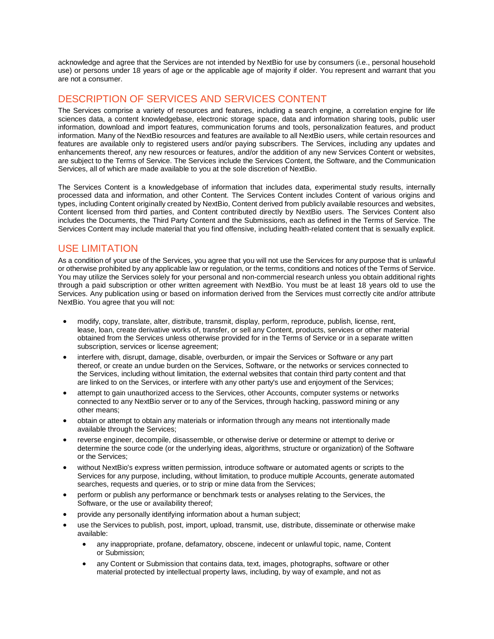acknowledge and agree that the Services are not intended by NextBio for use by consumers (i.e., personal household use) or persons under 18 years of age or the applicable age of majority if older. You represent and warrant that you are not a consumer.

# DESCRIPTION OF SERVICES AND SERVICES CONTENT

The Services comprise a variety of resources and features, including a search engine, a correlation engine for life sciences data, a content knowledgebase, electronic storage space, data and information sharing tools, public user information, download and import features, communication forums and tools, personalization features, and product information. Many of the NextBio resources and features are available to all NextBio users, while certain resources and features are available only to registered users and/or paying subscribers. The Services, including any updates and enhancements thereof, any new resources or features, and/or the addition of any new Services Content or websites, are subject to the Terms of Service. The Services include the Services Content, the Software, and the Communication Services, all of which are made available to you at the sole discretion of NextBio.

The Services Content is a knowledgebase of information that includes data, experimental study results, internally processed data and information, and other Content. The Services Content includes Content of various origins and types, including Content originally created by NextBio, Content derived from publicly available resources and websites, Content licensed from third parties, and Content contributed directly by NextBio users. The Services Content also includes the Documents, the Third Party Content and the Submissions, each as defined in the Terms of Service. The Services Content may include material that you find offensive, including health-related content that is sexually explicit.

## USE LIMITATION

As a condition of your use of the Services, you agree that you will not use the Services for any purpose that is unlawful or otherwise prohibited by any applicable law or regulation, or the terms, conditions and notices of the Terms of Service. You may utilize the Services solely for your personal and non-commercial research unless you obtain additional rights through a paid subscription or other written agreement with NextBio. You must be at least 18 years old to use the Services. Any publication using or based on information derived from the Services must correctly cite and/or attribute NextBio. You agree that you will not:

- modify, copy, translate, alter, distribute, transmit, display, perform, reproduce, publish, license, rent, lease, loan, create derivative works of, transfer, or sell any Content, products, services or other material obtained from the Services unless otherwise provided for in the Terms of Service or in a separate written subscription, services or license agreement;
- interfere with, disrupt, damage, disable, overburden, or impair the Services or Software or any part thereof, or create an undue burden on the Services, Software, or the networks or services connected to the Services, including without limitation, the external websites that contain third party content and that are linked to on the Services, or interfere with any other party's use and enjoyment of the Services;
- attempt to gain unauthorized access to the Services, other Accounts, computer systems or networks connected to any NextBio server or to any of the Services, through hacking, password mining or any other means;
- obtain or attempt to obtain any materials or information through any means not intentionally made available through the Services;
- reverse engineer, decompile, disassemble, or otherwise derive or determine or attempt to derive or determine the source code (or the underlying ideas, algorithms, structure or organization) of the Software or the Services;
- without NextBio's express written permission, introduce software or automated agents or scripts to the Services for any purpose, including, without limitation, to produce multiple Accounts, generate automated searches, requests and queries, or to strip or mine data from the Services;
- perform or publish any performance or benchmark tests or analyses relating to the Services, the Software, or the use or availability thereof;
- provide any personally identifying information about a human subject;
- use the Services to publish, post, import, upload, transmit, use, distribute, disseminate or otherwise make available:
	- any inappropriate, profane, defamatory, obscene, indecent or unlawful topic, name, Content or Submission;
	- any Content or Submission that contains data, text, images, photographs, software or other material protected by intellectual property laws, including, by way of example, and not as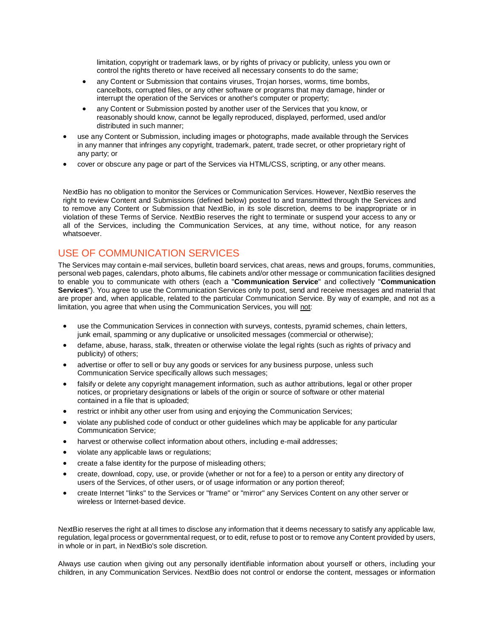limitation, copyright or trademark laws, or by rights of privacy or publicity, unless you own or control the rights thereto or have received all necessary consents to do the same;

- any Content or Submission that contains viruses. Troian horses, worms, time bombs, cancelbots, corrupted files, or any other software or programs that may damage, hinder or interrupt the operation of the Services or another's computer or property;
- any Content or Submission posted by another user of the Services that you know, or reasonably should know, cannot be legally reproduced, displayed, performed, used and/or distributed in such manner;
- use any Content or Submission, including images or photographs, made available through the Services in any manner that infringes any copyright, trademark, patent, trade secret, or other proprietary right of any party; or
- cover or obscure any page or part of the Services via HTML/CSS, scripting, or any other means.

NextBio has no obligation to monitor the Services or Communication Services. However, NextBio reserves the right to review Content and Submissions (defined below) posted to and transmitted through the Services and to remove any Content or Submission that NextBio, in its sole discretion, deems to be inappropriate or in violation of these Terms of Service. NextBio reserves the right to terminate or suspend your access to any or all of the Services, including the Communication Services, at any time, without notice, for any reason whatsoever.

# USE OF COMMUNICATION SERVICES

The Services may contain e-mail services, bulletin board services, chat areas, news and groups, forums, communities, personal web pages, calendars, photo albums, file cabinets and/or other message or communication facilities designed to enable you to communicate with others (each a "**Communication Service**" and collectively "**Communication Services**"). You agree to use the Communication Services only to post, send and receive messages and material that are proper and, when applicable, related to the particular Communication Service. By way of example, and not as a limitation, you agree that when using the Communication Services, you will not:

- use the Communication Services in connection with surveys, contests, pyramid schemes, chain letters, junk email, spamming or any duplicative or unsolicited messages (commercial or otherwise);
- defame, abuse, harass, stalk, threaten or otherwise violate the legal rights (such as rights of privacy and publicity) of others;
- advertise or offer to sell or buy any goods or services for any business purpose, unless such Communication Service specifically allows such messages;
- falsify or delete any copyright management information, such as author attributions, legal or other proper notices, or proprietary designations or labels of the origin or source of software or other material contained in a file that is uploaded;
- restrict or inhibit any other user from using and enjoying the Communication Services;
- violate any published code of conduct or other guidelines which may be applicable for any particular Communication Service;
- harvest or otherwise collect information about others, including e-mail addresses;
- violate any applicable laws or regulations;
- create a false identity for the purpose of misleading others;
- create, download, copy, use, or provide (whether or not for a fee) to a person or entity any directory of users of the Services, of other users, or of usage information or any portion thereof;
- create Internet "links" to the Services or "frame" or "mirror" any Services Content on any other server or wireless or Internet-based device.

NextBio reserves the right at all times to disclose any information that it deems necessary to satisfy any applicable law, regulation, legal process or governmental request, or to edit, refuse to post or to remove any Content provided by users, in whole or in part, in NextBio's sole discretion.

Always use caution when giving out any personally identifiable information about yourself or others, including your children, in any Communication Services. NextBio does not control or endorse the content, messages or information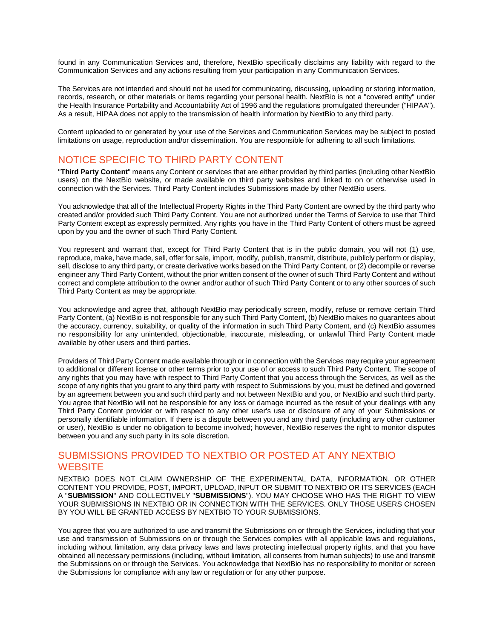found in any Communication Services and, therefore, NextBio specifically disclaims any liability with regard to the Communication Services and any actions resulting from your participation in any Communication Services.

The Services are not intended and should not be used for communicating, discussing, uploading or storing information, records, research, or other materials or items regarding your personal health. NextBio is not a "covered entity" under the Health Insurance Portability and Accountability Act of 1996 and the regulations promulgated thereunder ("HIPAA"). As a result, HIPAA does not apply to the transmission of health information by NextBio to any third party.

Content uploaded to or generated by your use of the Services and Communication Services may be subject to posted limitations on usage, reproduction and/or dissemination. You are responsible for adhering to all such limitations.

# NOTICE SPECIFIC TO THIRD PARTY CONTENT

"**Third Party Content**" means any Content or services that are either provided by third parties (including other NextBio users) on the NextBio website, or made available on third party websites and linked to on or otherwise used in connection with the Services. Third Party Content includes Submissions made by other NextBio users.

You acknowledge that all of the Intellectual Property Rights in the Third Party Content are owned by the third party who created and/or provided such Third Party Content. You are not authorized under the Terms of Service to use that Third Party Content except as expressly permitted. Any rights you have in the Third Party Content of others must be agreed upon by you and the owner of such Third Party Content.

You represent and warrant that, except for Third Party Content that is in the public domain, you will not (1) use, reproduce, make, have made, sell, offer for sale, import, modify, publish, transmit, distribute, publicly perform or display, sell, disclose to any third party, or create derivative works based on the Third Party Content, or (2) decompile or reverse engineer any Third Party Content, without the prior written consent of the owner of such Third Party Content and without correct and complete attribution to the owner and/or author of such Third Party Content or to any other sources of such Third Party Content as may be appropriate.

You acknowledge and agree that, although NextBio may periodically screen, modify, refuse or remove certain Third Party Content, (a) NextBio is not responsible for any such Third Party Content, (b) NextBio makes no guarantees about the accuracy, currency, suitability, or quality of the information in such Third Party Content, and (c) NextBio assumes no responsibility for any unintended, objectionable, inaccurate, misleading, or unlawful Third Party Content made available by other users and third parties.

Providers of Third Party Content made available through or in connection with the Services may require your agreement to additional or different license or other terms prior to your use of or access to such Third Party Content. The scope of any rights that you may have with respect to Third Party Content that you access through the Services, as well as the scope of any rights that you grant to any third party with respect to Submissions by you, must be defined and governed by an agreement between you and such third party and not between NextBio and you, or NextBio and such third party. You agree that NextBio will not be responsible for any loss or damage incurred as the result of your dealings with any Third Party Content provider or with respect to any other user's use or disclosure of any of your Submissions or personally identifiable information. If there is a dispute between you and any third party (including any other customer or user), NextBio is under no obligation to become involved; however, NextBio reserves the right to monitor disputes between you and any such party in its sole discretion.

# SUBMISSIONS PROVIDED TO NEXTBIO OR POSTED AT ANY NEXTBIO **WEBSITE**

NEXTBIO DOES NOT CLAIM OWNERSHIP OF THE EXPERIMENTAL DATA, INFORMATION, OR OTHER CONTENT YOU PROVIDE, POST, IMPORT, UPLOAD, INPUT OR SUBMIT TO NEXTBIO OR ITS SERVICES (EACH A "**SUBMISSION**" AND COLLECTIVELY "**SUBMISSIONS**"). YOU MAY CHOOSE WHO HAS THE RIGHT TO VIEW YOUR SUBMISSIONS IN NEXTBIO OR IN CONNECTION WITH THE SERVICES. ONLY THOSE USERS CHOSEN BY YOU WILL BE GRANTED ACCESS BY NEXTBIO TO YOUR SUBMISSIONS.

You agree that you are authorized to use and transmit the Submissions on or through the Services, including that your use and transmission of Submissions on or through the Services complies with all applicable laws and regulations, including without limitation, any data privacy laws and laws protecting intellectual property rights, and that you have obtained all necessary permissions (including, without limitation, all consents from human subjects) to use and transmit the Submissions on or through the Services. You acknowledge that NextBio has no responsibility to monitor or screen the Submissions for compliance with any law or regulation or for any other purpose.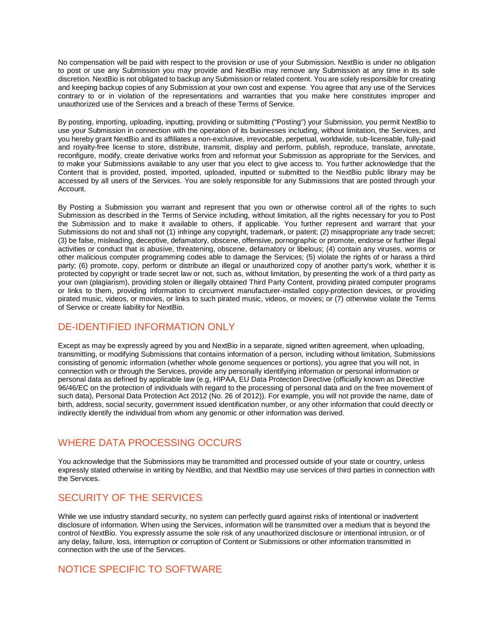No compensation will be paid with respect to the provision or use of your Submission. NextBio is under no obligation to post or use any Submission you may provide and NextBio may remove any Submission at any time in its sole discretion. NextBio is not obligated to backup any Submission or related content. You are solely responsible for creating and keeping backup copies of any Submission at your own cost and expense. You agree that any use of the Services contrary to or in violation of the representations and warranties that you make here constitutes improper and unauthorized use of the Services and a breach of these Terms of Service.

By posting, importing, uploading, inputting, providing or submitting ("Posting") your Submission, you permit NextBio to use your Submission in connection with the operation of its businesses including, without limitation, the Services, and you hereby grant NextBio and its affiliates a non-exclusive, irrevocable, perpetual, worldwide, sub-licensable, fully-paid and royalty-free license to store, distribute, transmit, display and perform, publish, reproduce, translate, annotate, reconfigure, modify, create derivative works from and reformat your Submission as appropriate for the Services, and to make your Submissions available to any user that you elect to give access to. You further acknowledge that the Content that is provided, posted, imported, uploaded, inputted or submitted to the NextBio public library may be accessed by all users of the Services. You are solely responsible for any Submissions that are posted through your Account.

By Posting a Submission you warrant and represent that you own or otherwise control all of the rights to such Submission as described in the Terms of Service including, without limitation, all the rights necessary for you to Post the Submission and to make it available to others, if applicable. You further represent and warrant that your Submissions do not and shall not (1) infringe any copyright, trademark, or patent; (2) misappropriate any trade secret; (3) be false, misleading, deceptive, defamatory, obscene, offensive, pornographic or promote, endorse or further illegal activities or conduct that is abusive, threatening, obscene, defamatory or libelous; (4) contain any viruses, worms or other malicious computer programming codes able to damage the Services; (5) violate the rights of or harass a third party; (6) promote, copy, perform or distribute an illegal or unauthorized copy of another party's work, whether it is protected by copyright or trade secret law or not, such as, without limitation, by presenting the work of a third party as your own (plagiarism), providing stolen or illegally obtained Third Party Content, providing pirated computer programs or links to them, providing information to circumvent manufacturer-installed copy-protection devices, or providing pirated music, videos, or movies, or links to such pirated music, videos, or movies; or (7) otherwise violate the Terms of Service or create liability for NextBio.

# DE-IDENTIFIED INFORMATION ONLY

Except as may be expressly agreed by you and NextBio in a separate, signed written agreement, when uploading, transmitting, or modifying Submissions that contains information of a person, including without limitation, Submissions consisting of genomic information (whether whole genome sequences or portions), you agree that you will not, in connection with or through the Services, provide any personally identifying information or personal information or personal data as defined by applicable law (e.g, HIPAA, EU Data Protection Directive (officially known as Directive 96/46/EC on the protection of individuals with regard to the processing of personal data and on the free movement of such data), Personal Data Protection Act 2012 (No. 26 of 2012)). For example, you will not provide the name, date of birth, address, social security, government issued identification number, or any other information that could directly or indirectly identify the individual from whom any genomic or other information was derived.

# WHERE DATA PROCESSING OCCURS

You acknowledge that the Submissions may be transmitted and processed outside of your state or country, unless expressly stated otherwise in writing by NextBio, and that NextBio may use services of third parties in connection with the Services.

# SECURITY OF THE SERVICES

While we use industry standard security, no system can perfectly guard against risks of intentional or inadvertent disclosure of information. When using the Services, information will be transmitted over a medium that is beyond the control of NextBio. You expressly assume the sole risk of any unauthorized disclosure or intentional intrusion, or of any delay, failure, loss, interruption or corruption of Content or Submissions or other information transmitted in connection with the use of the Services.

# NOTICE SPECIFIC TO SOFTWARE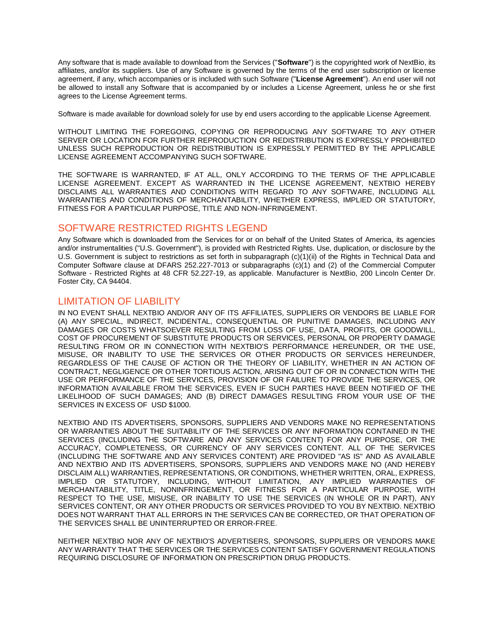Any software that is made available to download from the Services ("**Software**") is the copyrighted work of NextBio, its affiliates, and/or its suppliers. Use of any Software is governed by the terms of the end user subscription or license agreement, if any, which accompanies or is included with such Software ("**License Agreement**"). An end user will not be allowed to install any Software that is accompanied by or includes a License Agreement, unless he or she first agrees to the License Agreement terms.

Software is made available for download solely for use by end users according to the applicable License Agreement.

WITHOUT LIMITING THE FOREGOING, COPYING OR REPRODUCING ANY SOFTWARE TO ANY OTHER SERVER OR LOCATION FOR FURTHER REPRODUCTION OR REDISTRIBUTION IS EXPRESSLY PROHIBITED UNLESS SUCH REPRODUCTION OR REDISTRIBUTION IS EXPRESSLY PERMITTED BY THE APPLICABLE LICENSE AGREEMENT ACCOMPANYING SUCH SOFTWARE.

THE SOFTWARE IS WARRANTED, IF AT ALL, ONLY ACCORDING TO THE TERMS OF THE APPLICABLE LICENSE AGREEMENT. EXCEPT AS WARRANTED IN THE LICENSE AGREEMENT, NEXTBIO HEREBY DISCLAIMS ALL WARRANTIES AND CONDITIONS WITH REGARD TO ANY SOFTWARE, INCLUDING ALL WARRANTIES AND CONDITIONS OF MERCHANTABILITY, WHETHER EXPRESS, IMPLIED OR STATUTORY, FITNESS FOR A PARTICULAR PURPOSE, TITLE AND NON-INFRINGEMENT.

#### SOFTWARE RESTRICTED RIGHTS LEGEND

Any Software which is downloaded from the Services for or on behalf of the United States of America, its agencies and/or instrumentalities ("U.S. Government"), is provided with Restricted Rights. Use, duplication, or disclosure by the U.S. Government is subject to restrictions as set forth in subparagraph (c)(1)(ii) of the Rights in Technical Data and Computer Software clause at DFARS 252.227-7013 or subparagraphs (c)(1) and (2) of the Commercial Computer Software - Restricted Rights at 48 CFR 52.227-19, as applicable. Manufacturer is NextBio, 200 Lincoln Center Dr. Foster City, CA 94404.

#### LIMITATION OF LIABILITY

IN NO EVENT SHALL NEXTBIO AND/OR ANY OF ITS AFFILIATES, SUPPLIERS OR VENDORS BE LIABLE FOR (A) ANY SPECIAL, INDIRECT, INCIDENTAL, CONSEQUENTIAL OR PUNITIVE DAMAGES, INCLUDING ANY DAMAGES OR COSTS WHATSOEVER RESULTING FROM LOSS OF USE, DATA, PROFITS, OR GOODWILL, COST OF PROCUREMENT OF SUBSTITUTE PRODUCTS OR SERVICES, PERSONAL OR PROPERTY DAMAGE RESULTING FROM OR IN CONNECTION WITH NEXTBIO'S PERFORMANCE HEREUNDER, OR THE USE, MISUSE, OR INABILITY TO USE THE SERVICES OR OTHER PRODUCTS OR SERVICES HEREUNDER, REGARDLESS OF THE CAUSE OF ACTION OR THE THEORY OF LIABILITY, WHETHER IN AN ACTION OF CONTRACT, NEGLIGENCE OR OTHER TORTIOUS ACTION, ARISING OUT OF OR IN CONNECTION WITH THE USE OR PERFORMANCE OF THE SERVICES, PROVISION OF OR FAILURE TO PROVIDE THE SERVICES, OR INFORMATION AVAILABLE FROM THE SERVICES, EVEN IF SUCH PARTIES HAVE BEEN NOTIFIED OF THE LIKELIHOOD OF SUCH DAMAGES; AND (B) DIRECT DAMAGES RESULTING FROM YOUR USE OF THE SERVICES IN EXCESS OF USD \$1000.

NEXTBIO AND ITS ADVERTISERS, SPONSORS, SUPPLIERS AND VENDORS MAKE NO REPRESENTATIONS OR WARRANTIES ABOUT THE SUITABILITY OF THE SERVICES OR ANY INFORMATION CONTAINED IN THE SERVICES (INCLUDING THE SOFTWARE AND ANY SERVICES CONTENT) FOR ANY PURPOSE, OR THE ACCURACY, COMPLETENESS, OR CURRENCY OF ANY SERVICES CONTENT. ALL OF THE SERVICES (INCLUDING THE SOFTWARE AND ANY SERVICES CONTENT) ARE PROVIDED "AS IS" AND AS AVAILABLE AND NEXTBIO AND ITS ADVERTISERS, SPONSORS, SUPPLIERS AND VENDORS MAKE NO (AND HEREBY DISCLAIM ALL) WARRANTIES, REPRESENTATIONS, OR CONDITIONS, WHETHER WRITTEN, ORAL, EXPRESS, IMPLIED OR STATUTORY, INCLUDING, WITHOUT LIMITATION, ANY IMPLIED WARRANTIES OF MERCHANTABILITY, TITLE, NONINFRINGEMENT, OR FITNESS FOR A PARTICULAR PURPOSE, WITH RESPECT TO THE USE, MISUSE, OR INABILITY TO USE THE SERVICES (IN WHOLE OR IN PART), ANY SERVICES CONTENT, OR ANY OTHER PRODUCTS OR SERVICES PROVIDED TO YOU BY NEXTBIO. NEXTBIO DOES NOT WARRANT THAT ALL ERRORS IN THE SERVICES CAN BE CORRECTED, OR THAT OPERATION OF THE SERVICES SHALL BE UNINTERRUPTED OR ERROR-FREE.

NEITHER NEXTBIO NOR ANY OF NEXTBIO'S ADVERTISERS, SPONSORS, SUPPLIERS OR VENDORS MAKE ANY WARRANTY THAT THE SERVICES OR THE SERVICES CONTENT SATISFY GOVERNMENT REGULATIONS REQUIRING DISCLOSURE OF INFORMATION ON PRESCRIPTION DRUG PRODUCTS.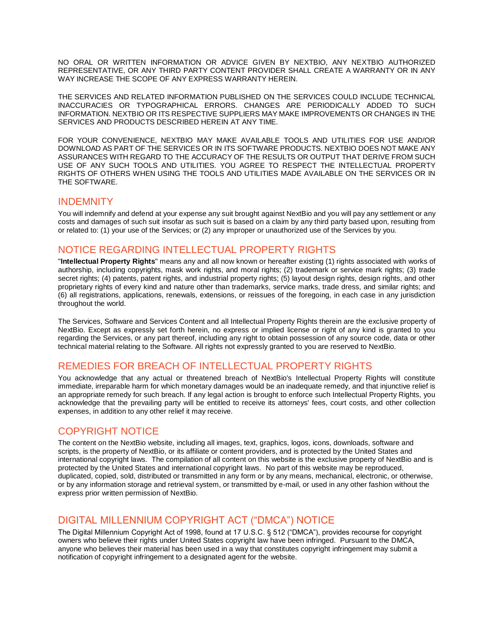NO ORAL OR WRITTEN INFORMATION OR ADVICE GIVEN BY NEXTBIO, ANY NEXTBIO AUTHORIZED REPRESENTATIVE, OR ANY THIRD PARTY CONTENT PROVIDER SHALL CREATE A WARRANTY OR IN ANY WAY INCREASE THE SCOPE OF ANY EXPRESS WARRANTY HEREIN.

THE SERVICES AND RELATED INFORMATION PUBLISHED ON THE SERVICES COULD INCLUDE TECHNICAL INACCURACIES OR TYPOGRAPHICAL ERRORS. CHANGES ARE PERIODICALLY ADDED TO SUCH INFORMATION. NEXTBIO OR ITS RESPECTIVE SUPPLIERS MAY MAKE IMPROVEMENTS OR CHANGES IN THE SERVICES AND PRODUCTS DESCRIBED HEREIN AT ANY TIME.

FOR YOUR CONVENIENCE, NEXTBIO MAY MAKE AVAILABLE TOOLS AND UTILITIES FOR USE AND/OR DOWNLOAD AS PART OF THE SERVICES OR IN ITS SOFTWARE PRODUCTS. NEXTBIO DOES NOT MAKE ANY ASSURANCES WITH REGARD TO THE ACCURACY OF THE RESULTS OR OUTPUT THAT DERIVE FROM SUCH USE OF ANY SUCH TOOLS AND UTILITIES. YOU AGREE TO RESPECT THE INTELLECTUAL PROPERTY RIGHTS OF OTHERS WHEN USING THE TOOLS AND UTILITIES MADE AVAILABLE ON THE SERVICES OR IN THE SOFTWARE.

#### **INDEMNITY**

You will indemnify and defend at your expense any suit brought against NextBio and you will pay any settlement or any costs and damages of such suit insofar as such suit is based on a claim by any third party based upon, resulting from or related to: (1) your use of the Services; or (2) any improper or unauthorized use of the Services by you.

# NOTICE REGARDING INTELLECTUAL PROPERTY RIGHTS

"**Intellectual Property Rights**" means any and all now known or hereafter existing (1) rights associated with works of authorship, including copyrights, mask work rights, and moral rights; (2) trademark or service mark rights; (3) trade secret rights; (4) patents, patent rights, and industrial property rights; (5) layout design rights, design rights, and other proprietary rights of every kind and nature other than trademarks, service marks, trade dress, and similar rights; and (6) all registrations, applications, renewals, extensions, or reissues of the foregoing, in each case in any jurisdiction throughout the world.

The Services, Software and Services Content and all Intellectual Property Rights therein are the exclusive property of NextBio. Except as expressly set forth herein, no express or implied license or right of any kind is granted to you regarding the Services, or any part thereof, including any right to obtain possession of any source code, data or other technical material relating to the Software. All rights not expressly granted to you are reserved to NextBio.

# REMEDIES FOR BREACH OF INTELLECTUAL PROPERTY RIGHTS

You acknowledge that any actual or threatened breach of NextBio's Intellectual Property Rights will constitute immediate, irreparable harm for which monetary damages would be an inadequate remedy, and that injunctive relief is an appropriate remedy for such breach. If any legal action is brought to enforce such Intellectual Property Rights, you acknowledge that the prevailing party will be entitled to receive its attorneys' fees, court costs, and other collection expenses, in addition to any other relief it may receive.

# COPYRIGHT NOTICE

The content on the NextBio website, including all images, text, graphics, logos, icons, downloads, software and scripts, is the property of NextBio, or its affiliate or content providers, and is protected by the United States and international copyright laws. The compilation of all content on this website is the exclusive property of NextBio and is protected by the United States and international copyright laws. No part of this website may be reproduced, duplicated, copied, sold, distributed or transmitted in any form or by any means, mechanical, electronic, or otherwise, or by any information storage and retrieval system, or transmitted by e-mail, or used in any other fashion without the express prior written permission of NextBio.

# DIGITAL MILLENNIUM COPYRIGHT ACT ("DMCA") NOTICE

The Digital Millennium Copyright Act of 1998, found at 17 U.S.C. § 512 ("DMCA"), provides recourse for copyright owners who believe their rights under United States copyright law have been infringed. Pursuant to the DMCA, anyone who believes their material has been used in a way that constitutes copyright infringement may submit a notification of copyright infringement to a designated agent for the website.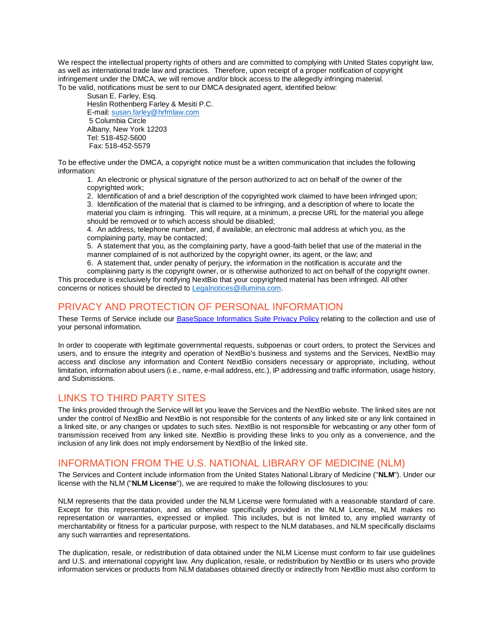We respect the intellectual property rights of others and are committed to complying with United States copyright law, as well as international trade law and practices. Therefore, upon receipt of a proper notification of copyright infringement under the DMCA, we will remove and/or block access to the allegedly infringing material. To be valid, notifications must be sent to our DMCA designated agent, identified below:

Susan E. Farley, Esq. Heslin Rothenberg Farley & Mesiti P.C. E-mail: [susan.farley@hrfmlaw.com](mailto:susan.farley@hrfmlaw.com) 5 Columbia Circle Albany, New York 12203 Tel: 518-452-5600 Fax: 518-452-5579

To be effective under the DMCA, a copyright notice must be a written communication that includes the following information:

1. An electronic or physical signature of the person authorized to act on behalf of the owner of the copyrighted work;

2. Identification of and a brief description of the copyrighted work claimed to have been infringed upon; 3. Identification of the material that is claimed to be infringing, and a description of where to locate the material you claim is infringing. This will require, at a minimum, a precise URL for the material you allege should be removed or to which access should be disabled;

4. An address, telephone number, and, if available, an electronic mail address at which you, as the complaining party, may be contacted;

5. A statement that you, as the complaining party, have a good-faith belief that use of the material in the manner complained of is not authorized by the copyright owner, its agent, or the law; and

6. A statement that, under penalty of perjury, the information in the notification is accurate and the complaining party is the copyright owner, or is otherwise authorized to act on behalf of the copyright owner. This procedure is exclusively for notifying NextBio that your copyrighted material has been infringed. All other concerns or notices should be directed to [Legalnotices@illumina.com.](mailto:Legalnotices@illumina.com)

## PRIVACY AND PROTECTION OF PERSONAL INFORMATION

These Terms of Service include our [BaseSpace Informatics Suite Privacy Policy](http://eibu.informatics.illumina.com/BaseSpace_Suite_Privacy_Policy.htm) relating to the collection and use of your personal information.

In order to cooperate with legitimate governmental requests, subpoenas or court orders, to protect the Services and users, and to ensure the integrity and operation of NextBio's business and systems and the Services, NextBio may access and disclose any information and Content NextBio considers necessary or appropriate, including, without limitation, information about users (i.e., name, e-mail address, etc.), IP addressing and traffic information, usage history, and Submissions.

# LINKS TO THIRD PARTY SITES

The links provided through the Service will let you leave the Services and the NextBio website. The linked sites are not under the control of NextBio and NextBio is not responsible for the contents of any linked site or any link contained in a linked site, or any changes or updates to such sites. NextBio is not responsible for webcasting or any other form of transmission received from any linked site. NextBio is providing these links to you only as a convenience, and the inclusion of any link does not imply endorsement by NextBio of the linked site.

## INFORMATION FROM THE U.S. NATIONAL LIBRARY OF MEDICINE (NLM)

The Services and Content include information from the United States National Library of Medicine ("**NLM**"). Under our license with the NLM ("**NLM License**"), we are required to make the following disclosures to you:

NLM represents that the data provided under the NLM License were formulated with a reasonable standard of care. Except for this representation, and as otherwise specifically provided in the NLM License, NLM makes no representation or warranties, expressed or implied. This includes, but is not limited to, any implied warranty of merchantability or fitness for a particular purpose, with respect to the NLM databases, and NLM specifically disclaims any such warranties and representations.

The duplication, resale, or redistribution of data obtained under the NLM License must conform to fair use guidelines and U.S. and international copyright law. Any duplication, resale, or redistribution by NextBio or its users who provide information services or products from NLM databases obtained directly or indirectly from NextBio must also conform to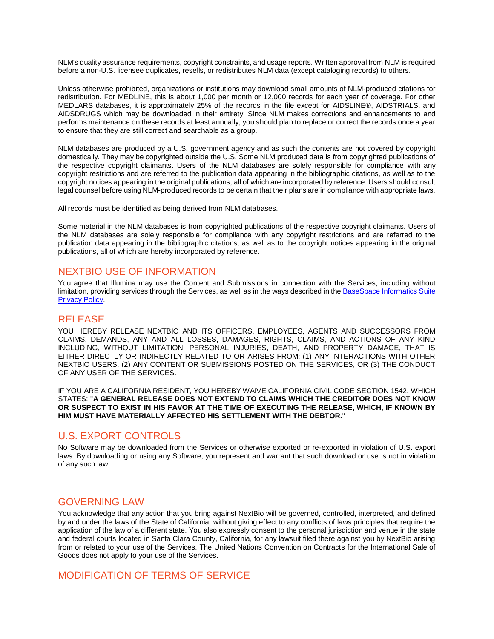NLM's quality assurance requirements, copyright constraints, and usage reports. Written approval from NLM is required before a non-U.S. licensee duplicates, resells, or redistributes NLM data (except cataloging records) to others.

Unless otherwise prohibited, organizations or institutions may download small amounts of NLM-produced citations for redistribution. For MEDLINE, this is about 1,000 per month or 12,000 records for each year of coverage. For other MEDLARS databases, it is approximately 25% of the records in the file except for AIDSLINE®, AIDSTRIALS, and AIDSDRUGS which may be downloaded in their entirety. Since NLM makes corrections and enhancements to and performs maintenance on these records at least annually, you should plan to replace or correct the records once a year to ensure that they are still correct and searchable as a group.

NLM databases are produced by a U.S. government agency and as such the contents are not covered by copyright domestically. They may be copyrighted outside the U.S. Some NLM produced data is from copyrighted publications of the respective copyright claimants. Users of the NLM databases are solely responsible for compliance with any copyright restrictions and are referred to the publication data appearing in the bibliographic citations, as well as to the copyright notices appearing in the original publications, all of which are incorporated by reference. Users should consult legal counsel before using NLM-produced records to be certain that their plans are in compliance with appropriate laws.

All records must be identified as being derived from NLM databases.

Some material in the NLM databases is from copyrighted publications of the respective copyright claimants. Users of the NLM databases are solely responsible for compliance with any copyright restrictions and are referred to the publication data appearing in the bibliographic citations, as well as to the copyright notices appearing in the original publications, all of which are hereby incorporated by reference.

#### NEXTBIO USE OF INFORMATION

You agree that Illumina may use the Content and Submissions in connection with the Services, including without limitation, providing services through the Services, as well as in the ways described in the BaseSpace Informatics Suite [Privacy Policy.](http://eibu.informatics.illumina.com/BaseSpace_Suite_Privacy_Policy.htm)

#### RELEASE

YOU HEREBY RELEASE NEXTBIO AND ITS OFFICERS, EMPLOYEES, AGENTS AND SUCCESSORS FROM CLAIMS, DEMANDS, ANY AND ALL LOSSES, DAMAGES, RIGHTS, CLAIMS, AND ACTIONS OF ANY KIND INCLUDING, WITHOUT LIMITATION, PERSONAL INJURIES, DEATH, AND PROPERTY DAMAGE, THAT IS EITHER DIRECTLY OR INDIRECTLY RELATED TO OR ARISES FROM: (1) ANY INTERACTIONS WITH OTHER NEXTBIO USERS, (2) ANY CONTENT OR SUBMISSIONS POSTED ON THE SERVICES, OR (3) THE CONDUCT OF ANY USER OF THE SERVICES.

IF YOU ARE A CALIFORNIA RESIDENT, YOU HEREBY WAIVE CALIFORNIA CIVIL CODE SECTION 1542, WHICH STATES: "**A GENERAL RELEASE DOES NOT EXTEND TO CLAIMS WHICH THE CREDITOR DOES NOT KNOW OR SUSPECT TO EXIST IN HIS FAVOR AT THE TIME OF EXECUTING THE RELEASE, WHICH, IF KNOWN BY HIM MUST HAVE MATERIALLY AFFECTED HIS SETTLEMENT WITH THE DEBTOR.**"

## U.S. EXPORT CONTROLS

No Software may be downloaded from the Services or otherwise exported or re-exported in violation of U.S. export laws. By downloading or using any Software, you represent and warrant that such download or use is not in violation of any such law.

## GOVERNING LAW

You acknowledge that any action that you bring against NextBio will be governed, controlled, interpreted, and defined by and under the laws of the State of California, without giving effect to any conflicts of laws principles that require the application of the law of a different state. You also expressly consent to the personal jurisdiction and venue in the state and federal courts located in Santa Clara County, California, for any lawsuit filed there against you by NextBio arising from or related to your use of the Services. The United Nations Convention on Contracts for the International Sale of Goods does not apply to your use of the Services.

## MODIFICATION OF TERMS OF SERVICE